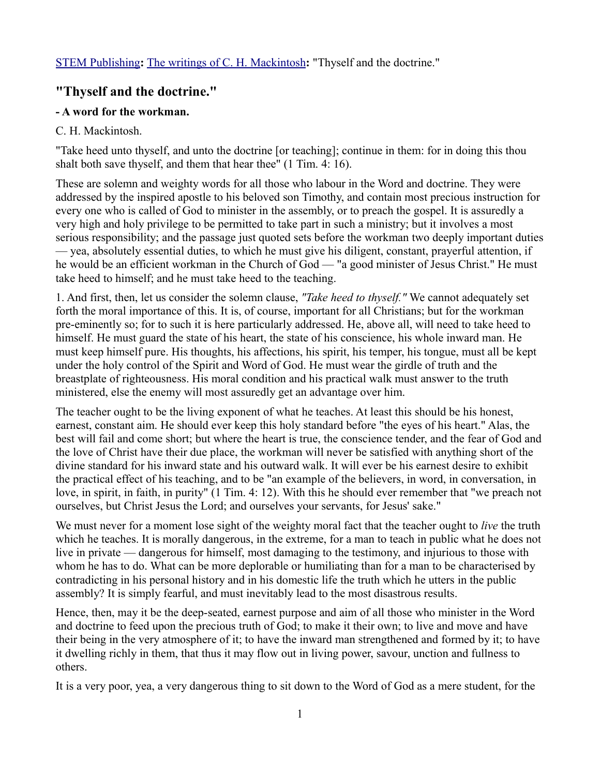## **"Thyself and the doctrine."**

## **- A word for the workman.**

## C. H. Mackintosh.

"Take heed unto thyself, and unto the doctrine [or teaching]; continue in them: for in doing this thou shalt both save thyself, and them that hear thee" (1 Tim. 4: 16).

These are solemn and weighty words for all those who labour in the Word and doctrine. They were addressed by the inspired apostle to his beloved son Timothy, and contain most precious instruction for every one who is called of God to minister in the assembly, or to preach the gospel. It is assuredly a very high and holy privilege to be permitted to take part in such a ministry; but it involves a most serious responsibility; and the passage just quoted sets before the workman two deeply important duties — yea, absolutely essential duties, to which he must give his diligent, constant, prayerful attention, if he would be an efficient workman in the Church of God — "a good minister of Jesus Christ." He must take heed to himself; and he must take heed to the teaching.

1. And first, then, let us consider the solemn clause, *"Take heed to thyself."* We cannot adequately set forth the moral importance of this. It is, of course, important for all Christians; but for the workman pre-eminently so; for to such it is here particularly addressed. He, above all, will need to take heed to himself. He must guard the state of his heart, the state of his conscience, his whole inward man. He must keep himself pure. His thoughts, his affections, his spirit, his temper, his tongue, must all be kept under the holy control of the Spirit and Word of God. He must wear the girdle of truth and the breastplate of righteousness. His moral condition and his practical walk must answer to the truth ministered, else the enemy will most assuredly get an advantage over him.

The teacher ought to be the living exponent of what he teaches. At least this should be his honest, earnest, constant aim. He should ever keep this holy standard before "the eyes of his heart." Alas, the best will fail and come short; but where the heart is true, the conscience tender, and the fear of God and the love of Christ have their due place, the workman will never be satisfied with anything short of the divine standard for his inward state and his outward walk. It will ever be his earnest desire to exhibit the practical effect of his teaching, and to be "an example of the believers, in word, in conversation, in love, in spirit, in faith, in purity" (1 Tim. 4: 12). With this he should ever remember that "we preach not ourselves, but Christ Jesus the Lord; and ourselves your servants, for Jesus' sake."

We must never for a moment lose sight of the weighty moral fact that the teacher ought to *live* the truth which he teaches. It is morally dangerous, in the extreme, for a man to teach in public what he does not live in private — dangerous for himself, most damaging to the testimony, and injurious to those with whom he has to do. What can be more deplorable or humiliating than for a man to be characterised by contradicting in his personal history and in his domestic life the truth which he utters in the public assembly? It is simply fearful, and must inevitably lead to the most disastrous results.

Hence, then, may it be the deep-seated, earnest purpose and aim of all those who minister in the Word and doctrine to feed upon the precious truth of God; to make it their own; to live and move and have their being in the very atmosphere of it; to have the inward man strengthened and formed by it; to have it dwelling richly in them, that thus it may flow out in living power, savour, unction and fullness to others.

It is a very poor, yea, a very dangerous thing to sit down to the Word of God as a mere student, for the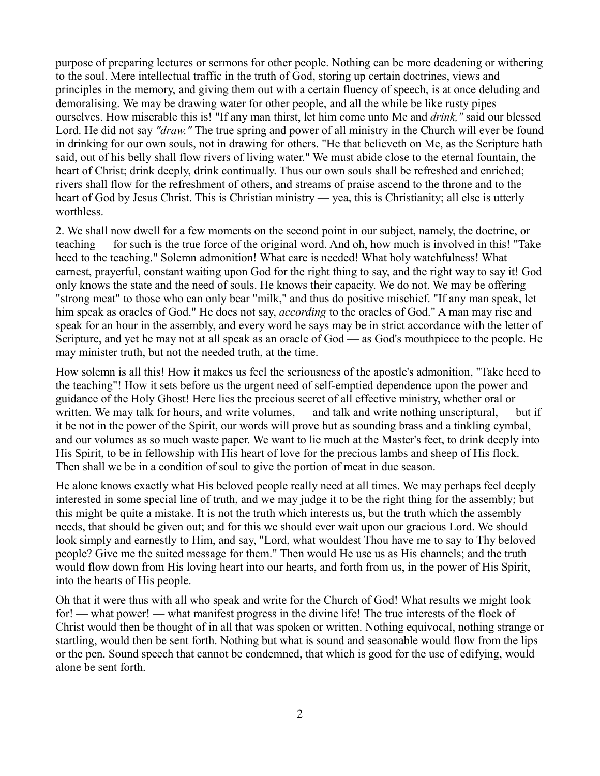purpose of preparing lectures or sermons for other people. Nothing can be more deadening or withering to the soul. Mere intellectual traffic in the truth of God, storing up certain doctrines, views and principles in the memory, and giving them out with a certain fluency of speech, is at once deluding and demoralising. We may be drawing water for other people, and all the while be like rusty pipes ourselves. How miserable this is! "If any man thirst, let him come unto Me and *drink,"* said our blessed Lord. He did not say *"draw."* The true spring and power of all ministry in the Church will ever be found in drinking for our own souls, not in drawing for others. "He that believeth on Me, as the Scripture hath said, out of his belly shall flow rivers of living water." We must abide close to the eternal fountain, the heart of Christ; drink deeply, drink continually. Thus our own souls shall be refreshed and enriched; rivers shall flow for the refreshment of others, and streams of praise ascend to the throne and to the heart of God by Jesus Christ. This is Christian ministry — yea, this is Christianity; all else is utterly worthless.

2. We shall now dwell for a few moments on the second point in our subject, namely, the doctrine, or teaching — for such is the true force of the original word. And oh, how much is involved in this! "Take heed to the teaching." Solemn admonition! What care is needed! What holy watchfulness! What earnest, prayerful, constant waiting upon God for the right thing to say, and the right way to say it! God only knows the state and the need of souls. He knows their capacity. We do not. We may be offering "strong meat" to those who can only bear "milk," and thus do positive mischief. "If any man speak, let him speak as oracles of God." He does not say, *according* to the oracles of God." A man may rise and speak for an hour in the assembly, and every word he says may be in strict accordance with the letter of Scripture, and yet he may not at all speak as an oracle of God — as God's mouthpiece to the people. He may minister truth, but not the needed truth, at the time.

How solemn is all this! How it makes us feel the seriousness of the apostle's admonition, "Take heed to the teaching"! How it sets before us the urgent need of self-emptied dependence upon the power and guidance of the Holy Ghost! Here lies the precious secret of all effective ministry, whether oral or written. We may talk for hours, and write volumes, — and talk and write nothing unscriptural, — but if it be not in the power of the Spirit, our words will prove but as sounding brass and a tinkling cymbal, and our volumes as so much waste paper. We want to lie much at the Master's feet, to drink deeply into His Spirit, to be in fellowship with His heart of love for the precious lambs and sheep of His flock. Then shall we be in a condition of soul to give the portion of meat in due season.

He alone knows exactly what His beloved people really need at all times. We may perhaps feel deeply interested in some special line of truth, and we may judge it to be the right thing for the assembly; but this might be quite a mistake. It is not the truth which interests us, but the truth which the assembly needs, that should be given out; and for this we should ever wait upon our gracious Lord. We should look simply and earnestly to Him, and say, "Lord, what wouldest Thou have me to say to Thy beloved people? Give me the suited message for them." Then would He use us as His channels; and the truth would flow down from His loving heart into our hearts, and forth from us, in the power of His Spirit, into the hearts of His people.

Oh that it were thus with all who speak and write for the Church of God! What results we might look for! — what power! — what manifest progress in the divine life! The true interests of the flock of Christ would then be thought of in all that was spoken or written. Nothing equivocal, nothing strange or startling, would then be sent forth. Nothing but what is sound and seasonable would flow from the lips or the pen. Sound speech that cannot be condemned, that which is good for the use of edifying, would alone be sent forth.